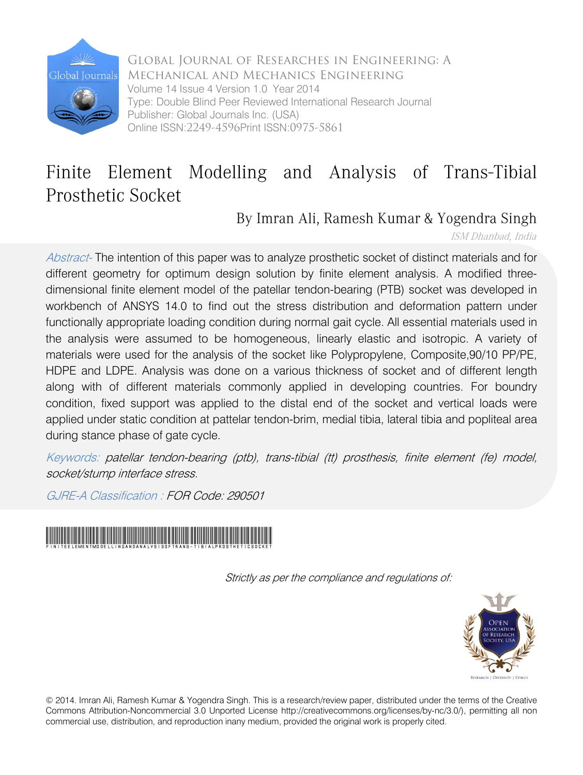

Global Journal of Researches in Engineering: A Mechanical and Mechanics Engineering Volume 14 Issue 4 Version 1.0 Year 2014 Type: Double Blind Peer Reviewed International Research Journal Publisher: Global Journals Inc. (USA) Online ISSN:2249-4596Print ISSN:0975-5861

## Finite Element Modelling and Analysis of Trans-Tibial Prosthetic Socket

### By Imran Ali, Ramesh Kumar & Yogendra Singh

ISM Dhanbad, India

Abstract- The intention of this paper was to analyze prosthetic socket of distinct materials and for different geometry for optimum design solution by finite element analysis. A modified threedimensional finite element model of the patellar tendon-bearing (PTB) socket was developed in workbench of ANSYS 14.0 to find out the stress distribution and deformation pattern under functionally appropriate loading condition during normal gait cycle. All essential materials used in the analysis were assumed to be homogeneous, linearly elastic and isotropic. A variety of materials were used for the analysis of the socket like Polypropylene, Composite,90/10 PP/PE, HDPE and LDPE. Analysis was done on a various thickness of socket and of different length along with of different materials commonly applied in developing countries. For boundry condition, fixed support was applied to the distal end of the socket and vertical loads were applied under static condition at pattelar tendon-brim, medial tibia, lateral tibia and popliteal area during stance phase of gate cycle.

Keywords: patellar tendon-bearing (ptb), trans-tibial (tt) prosthesis, finite element (fe) model, socket/stump interface stress.

GJRE-A Classification : FOR Code: 290501



Strictly as per the compliance and regulations of:



© 2014. Imran Ali, Ramesh Kumar & Yogendra Singh. This is a research/review paper, distributed under the terms of the Creative Commons Attribution-Noncommercial 3.0 Unported License http://creativecommons.org/licenses/by-nc/3.0/), permitting all non commercial use, distribution, and reproduction inany medium, provided the original work is properly cited.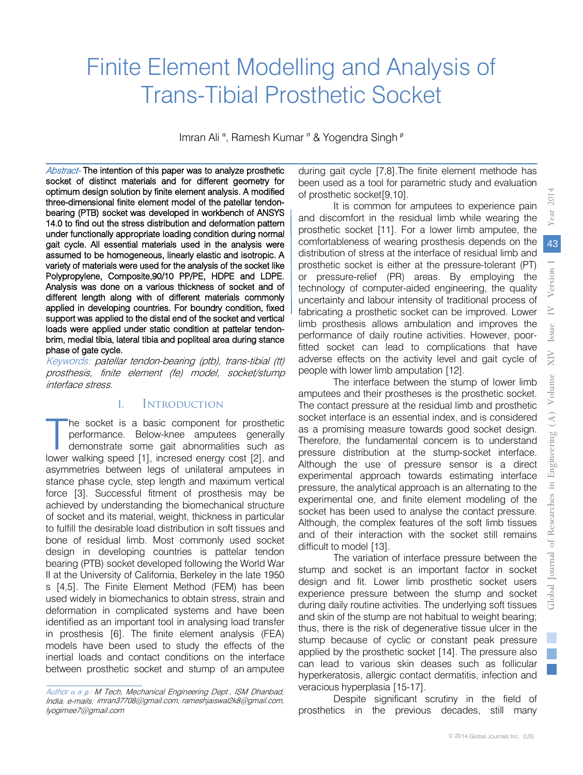Researches

J

Global Journal

# Finite Element Modelling and Analysis of Trans-Tibial Prosthetic Socket

Imran Ali<sup>a</sup>, Ramesh Kumar<sup>6</sup> & Yogendra Singh<sup>P</sup>

Abstract- The intention of this paper was to analyze prosthetic socket of distinct materials and for different geometry for optimum design solution by finite element analysis. A modified three-dimensional finite element model of the patellar tendonbearing (PTB) socket was developed in workbench of ANSYS 14.0 to find out the stress distribution and deformation pattern under functionally appropriate loading condition during normal gait cycle. All essential materials used in the analysis were assumed to be homogeneous, linearly elastic and isotropic. A variety of materials were used for the analysis of the socket like Polypropylene, Composite,90/10 PP/PE, HDPE and LDPE. Analysis was done on a various thickness of socket and of different length along with of different materials commonly applied in developing countries. For boundry condition, fixed support was applied to the distal end of the socket and vertical loads were applied under static condition at pattelar tendonbrim, medial tibia, lateral tibia and popliteal area during stance phase of gate cycle.

Keywords: patellar tendon-bearing (ptb), trans-tibial (tt) prosthesis, finite element (fe) model, socket/stump interface stress.

#### I. Introduction

he socket is a basic component for prosthetic performance. Below-knee amputees generally demonstrate some gait abnormalities such as The socket is a basic component for prosthetic<br>performance. Below-knee amputees generally<br>demonstrate some gait abnormalities such as<br>lower walking speed [1], incresed energy cost [2], and asymmetries between legs of unilateral amputees in stance phase cycle, step length and maximum vertical force [3]. Successful fitment of prosthesis may be achieved by understanding the biomechanical structure of socket and its material, weight, thickness in particular to fulfill the desirable load distribution in soft tissues and bone of residual limb. Most commonly used socket design in developing countries is pattelar tendon bearing (PTB) socket developed following the World War II at the University of California, Berkeley in the late 1950 s [4,5]. The Finite Element Method (FEM) has been used widely in biomechanics to obtain stress, strain and deformation in complicated systems and have been identified as an important tool in analysing load transfer in prosthesis [6]. The finite element analysis (FEA) models have been used to study the effects of the inertial loads and contact conditions on the interface between prosthetic socket and stump of an amputee

during gait cycle [7,8].The finite element methode has been used as a tool for parametric study and evaluation of prosthetic socket[9,10].

It is common for amputees to experience pain and discomfort in the residual limb while wearing the prosthetic socket [11]. For a lower limb amputee, the comfortableness of wearing prosthesis depends on the distribution of stress at the interface of residual limb and prosthetic socket is either at the pressure-tolerant (PT) or pressure-relief (PR) areas. By employing the technology of computer-aided engineering, the quality uncertainty and labour intensity of traditional process of fabricating a prosthetic socket can be improved. Lower limb prosthesis allows ambulation and improves the performance of daily routine activities. However, poorfitted socket can lead to complications that have adverse effects on the activity level and gait cycle of people with lower limb amputation [12].

The interface between the stump of lower limb amputees and their prostheses is the prosthetic socket. The contact pressure at the residual limb and prosthetic socket interface is an essential index, and is considered as a promising measure towards good socket design. Therefore, the fundamental concern is to understand pressure distribution at the stump-socket interface. Although the use of pressure sensor is a direct experimental approach towards estimating interface pressure, the analytical approach is an alternating to the experimental one, and finite element modeling of the socket has been used to analyse the contact pressure. Although, the complex features of the soft limb tissues and of their interaction with the socket still remains difficult to model [13].

The variation of interface pressure between the stump and socket is an important factor in socket design and fit. Lower limb prosthetic socket users experience pressure between the stump and socket during daily routine activities. The underlying soft tissues and skin of the stump are not habitual to weight bearing; thus, there is the risk of degenerative tissue ulcer in the stump because of cyclic or constant peak pressure applied by the prosthetic socket [14]. The pressure also can lead to various skin deases such as follicular hyperkeratosis, allergic contact dermatitis, infection and veracious hyperplasia [15-17].

Despite significant scrutiny in the field of prosthetics in the previous decades, still many

Author *α σ ρ*: M Tech, Mechanical Engineering Dept., ISM Dhanbad, India. e-mails: imran37708@gmail.com, rameshjaiswal2k8@gmail.com, lyogimee7@gmail.com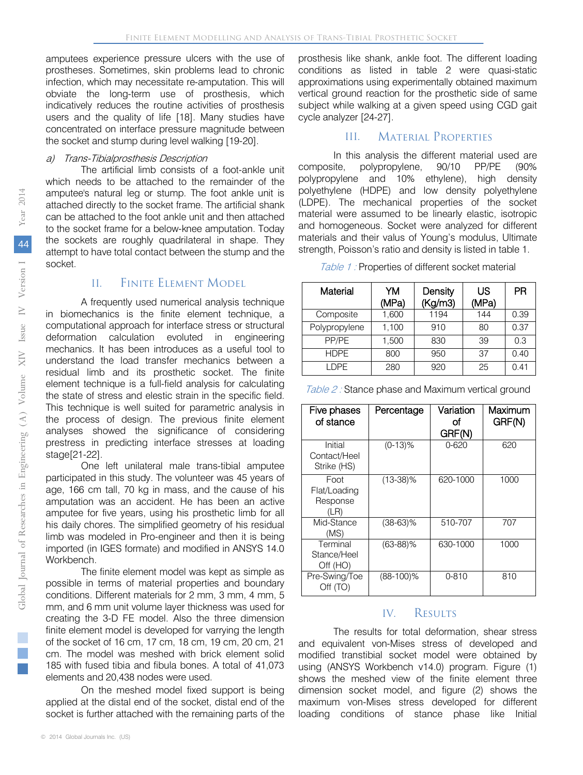amputees experience pressure ulcers with the use of prostheses. Sometimes, skin problems lead to chronic infection, which may necessitate re-amputation. This will obviate the long-term use of prosthesis, which indicatively reduces the routine activities of prosthesis users and the quality of life [18]. Many studies have concentrated on interface pressure magnitude between the socket and stump during level walking [19-20].

#### a) Trans-Tibialprosthesis Description

The artificial limb consists of a foot-ankle unit which needs to be attached to the remainder of the amputee's natural leg or stump. The foot ankle unit is attached directly to the socket frame. The artificial shank can be attached to the foot ankle unit and then attached to the socket frame for a below-knee amputation. Today the sockets are roughly quadrilateral in shape. They attempt to have total contact between the stump and the socket.

#### II. Finite Element Model

A frequently used numerical analysis technique in biomechanics is the finite element technique, a computational approach for interface stress or structural deformation calculation evoluted in engineering mechanics. It has been introduces as a useful tool to understand the load transfer mechanics between a residual limb and its prosthetic socket. The finite element technique is a full-field analysis for calculating the state of stress and elestic strain in the specific field. This technique is well suited for parametric analysis in the process of design. The previous finite element analyses showed the significance of considering prestress in predicting interface stresses at loading stage[21-22].

One left unilateral male trans-tibial amputee participated in this study. The volunteer was 45 years of age, 166 cm tall, 70 kg in mass, and the cause of his amputation was an accident. He has been an active amputee for five years, using his prosthetic limb for all his daily chores. The simplified geometry of his residual limb was modeled in Pro-engineer and then it is being imported (in IGES formate) and modified in ANSYS 14.0 Workbench.

The finite element model was kept as simple as possible in terms of material properties and boundary conditions. Different materials for 2 mm, 3 mm, 4 mm, 5 mm, and 6 mm unit volume layer thickness was used for creating the 3-D FE model. Also the three dimension finite element model is developed for varrying the length of the socket of 16 cm, 17 cm, 18 cm, 19 cm, 20 cm, 21 cm. The model was meshed with brick element solid 185 with fused tibia and fibula bones. A total of 41,073 elements and 20,438 nodes were used.

On the meshed model fixed support is being applied at the distal end of the socket, distal end of the socket is further attached with the remaining parts of the

prosthesis like shank, ankle foot. The different loading conditions as listed in table 2 were quasi-static approximations using experimentally obtained maximum vertical ground reaction for the prosthetic side of same subject while walking at a given speed using CGD gait cycle analyzer [24-27].

#### III. Material Properties

In this analysis the different material used are composite, polypropylene, 90/10 PP/PE (90% polypropylene and 10% ethylene), high density polyethylene (HDPE) and low density polyethylene (LDPE). The mechanical properties of the socket material were assumed to be linearly elastic, isotropic and homogeneous. Socket were analyzed for different materials and their valus of Young's modulus, Ultimate strength, Poisson's ratio and density is listed in table 1.

| Table 1: Properties of different socket material |  |  |  |  |  |
|--------------------------------------------------|--|--|--|--|--|
|--------------------------------------------------|--|--|--|--|--|

| Material      | YM<br>(MPa) | Density<br>(Kg/m3) | US<br>(MPa) | PR   |
|---------------|-------------|--------------------|-------------|------|
| Composite     | 1,600       | 1194               | 144         | 0.39 |
| Polypropylene | 1,100       | 910                | 80          | 0.37 |
| PP/PE         | 1,500       | 830                | 39          | 0.3  |
| <b>HDPE</b>   | 800         | 950                | 37          | 0.40 |
| I DPF         | 280         | 920                | 25          | 0.41 |

| Five phases<br>of stance                 | Percentage   | Variation<br>Ωf<br>GRF(N) | Maximum<br>GRF(N) |
|------------------------------------------|--------------|---------------------------|-------------------|
| Initial<br>Contact/Heel<br>Strike (HS)   | $(0-13)\%$   | $0 - 620$                 | 620               |
| Foot<br>Flat/Loading<br>Response<br>(LR) | $(13-38)\%$  | 620-1000                  | 1000              |
| Mid-Stance<br>(MS)                       | $(38-63)\%$  | 510-707                   | 707               |
| Terminal<br>Stance/Heel<br>Off (HO)      | $(63-88)\%$  | 630-1000                  | 1000              |
| Pre-Swing/Toe<br>Off (TO)                | $(88-100)\%$ | $0 - 810$                 | 810               |

#### IV. Results

The results for total deformation, shear stress and equivalent von-Mises stress of developed and modified transtibial socket model were obtained by using (ANSYS Workbench v14.0) program. Figure (1) shows the meshed view of the finite element three dimension socket model, and figure (2) shows the maximum von-Mises stress developed for different loading conditions of stance phase like Initial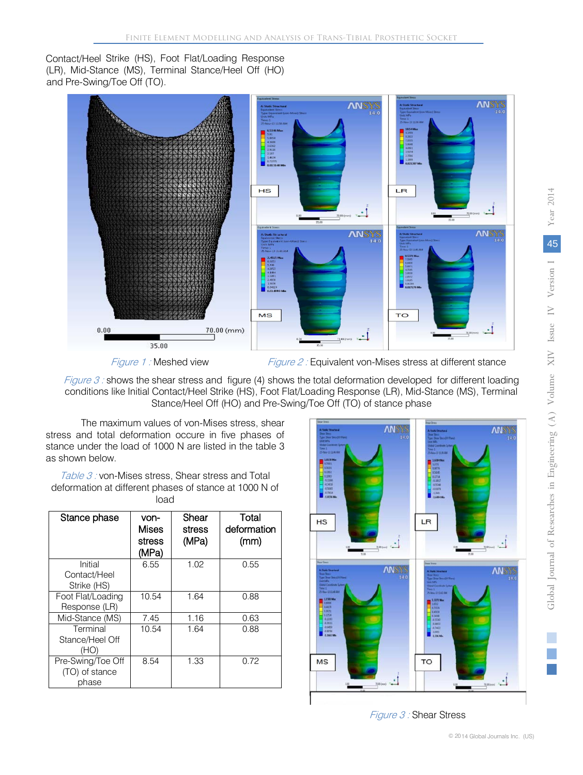Contact/Heel Strike (HS), Foot Flat/Loading Response (LR), Mid-Stance (MS), Terminal Stance/Heel Off (HO) and Pre-Swing/Toe Off (TO).



Figure 1: Meshed view Figure 2: Equivalent von-Mises stress at different stance

Figure 3: shows the shear stress and figure (4) shows the total deformation developed for different loading conditions like Initial Contact/Heel Strike (HS), Foot Flat/Loading Response (LR), Mid-Stance (MS), Terminal Stance/Heel Off (HO) and Pre-Swing/Toe Off (TO) of stance phase

The maximum values of von-Mises stress, shear stress and total deformation occure in five phases of stance under the load of 1000 N are listed in the table 3 as shown below.

Table 3: von-Mises stress, Shear stress and Total deformation at different phases of stance at 1000 N of load

| Stance phase                                 | von-<br>Mises<br>stress<br>(MPa) | Shear<br>stress<br>(MPa) | Total<br>deformation<br>(mm) |
|----------------------------------------------|----------------------------------|--------------------------|------------------------------|
| Initial<br>Contact/Heel<br>Strike (HS)       | 6.55                             | 1.02                     | 0.55                         |
| Foot Flat/Loading<br>Response (LR)           | 10.54                            | 1.64                     | 0.88                         |
| Mid-Stance (MS)                              | 7.45                             | 1.16                     | 0.63                         |
| Terminal<br>Stance/Heel Off<br>(HO)          | 10.54                            | 1.64                     | 0.88                         |
| Pre-Swing/Toe Off<br>(TO) of stance<br>phase | 8.54                             | 1.33                     | 0.72                         |



Figure 3 : Shear Stress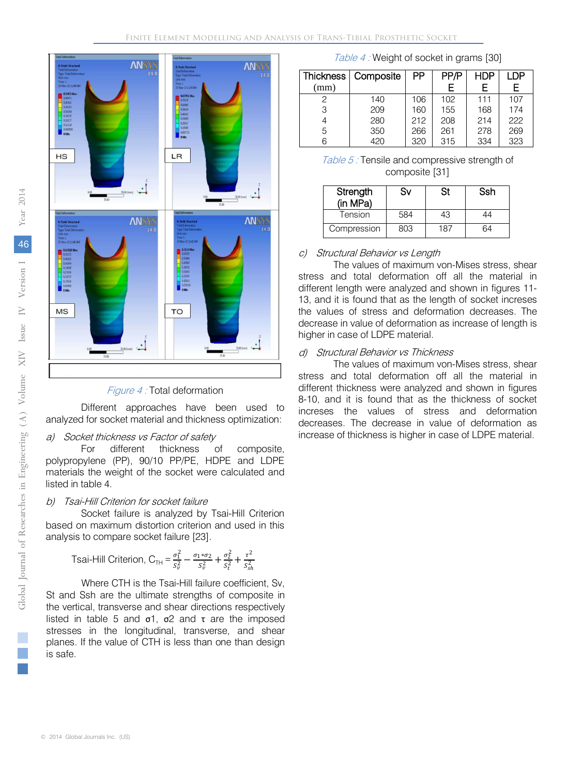

Figure 4 : Total deformation

Different approaches have been used to analyzed for socket material and thickness optimization:

## a) Socket thickness vs Factor of safety<br>For different thickness c

different thickness of composite, polypropylene (PP), 90/10 PP/PE, HDPE and LDPE materials the weight of the socket were calculated and listed in table 4.

#### b) Tsai-Hill Criterion for socket failure

Socket failure is analyzed by Tsai-Hill Criterion based on maximum distortion criterion and used in this analysis to compare socket failure [23].

Tsai-Hill Criterion, 
$$
C_{\text{TH}} = \frac{\sigma_1^2}{s_v^2} - \frac{\sigma_1 * \sigma_2}{s_v^2} + \frac{\sigma_2^2}{s_t^2} + \frac{\tau^2}{s_{sh}^2}
$$

Where CTH is the Tsai-Hill failure coefficient, Sv, St and Ssh are the ultimate strengths of composite in the vertical, transverse and shear directions respectively listed in table 5 and σ1, σ2 and τ are the imposed stresses in the longitudinal, transverse, and shear planes. If the value of CTH is less than one than design is safe.

Table 4 : Weight of socket in grams [30]

| Composite | PP  | PP/P | HDP | I DP |
|-----------|-----|------|-----|------|
|           |     | F    | F   | F    |
| 140       | 106 | 102  | 111 | 107  |
| 209       | 160 | 155  | 168 | 174  |
| 280       | 212 | 208  | 214 | 222  |
| 350       | 266 | 261  | 278 | 269  |
| 420       | 320 | 315  | 334 | 323  |
|           |     |      |     |      |

Table 5 : Tensile and compressive strength of composite [31]

| Strength<br>(in MPa) | Sv  | St  | Ssh |
|----------------------|-----|-----|-----|
| Tension              | 584 | 43  | 14  |
| Compression          | 803 | 187 |     |

#### c) Structural Behavior vs Length

The values of maximum von-Mises stress, shear stress and total deformation off all the material in different length were analyzed and shown in figures 11- 13, and it is found that as the length of socket increses the values of stress and deformation decreases. The decrease in value of deformation as increase of length is higher in case of LDPE material.

#### d) Structural Behavior vs Thickness

The values of maximum von-Mises stress, shear stress and total deformation off all the material in different thickness were analyzed and shown in figures 8-10, and it is found that as the thickness of socket increses the values of stress and deformation decreases. The decrease in value of deformation as increase of thickness is higher in case of LDPE material.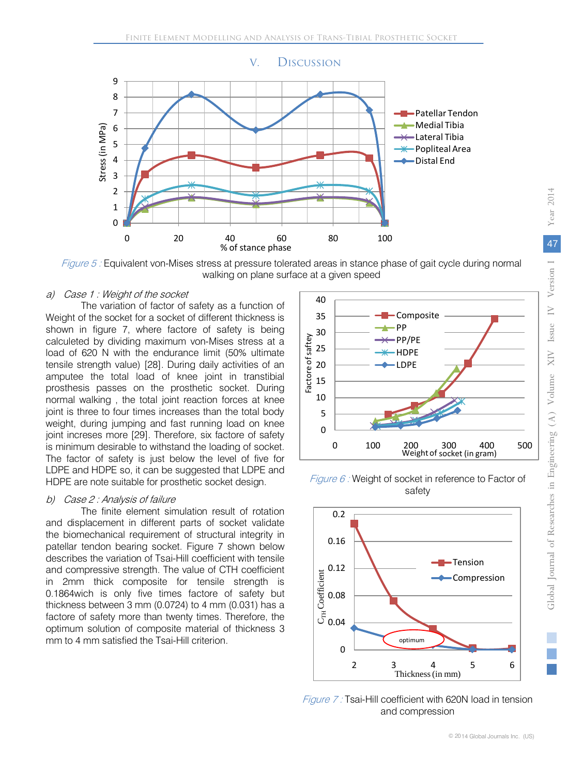

Figure 5 : Equivalent von-Mises stress at pressure tolerated areas in stance phase of gait cycle during normal walking on plane surface at a given speed

#### a) Case 1 : Weight of the socket

The variation of factor of safety as a function of Weight of the socket for a socket of different thickness is shown in figure 7, where factore of safety is being calculeted by dividing maximum von-Mises stress at a load of 620 N with the endurance limit (50% ultimate tensile strength value) [28]. During daily activities of an amputee the total load of knee joint in transtibial prosthesis passes on the prosthetic socket. During normal walking , the total joint reaction forces at knee joint is three to four times increases than the total body weight, during jumping and fast running load on knee joint increses more [29]. Therefore, six factore of safety is minimum desirable to withstand the loading of socket. The factor of safety is just below the level of five for LDPE and HDPE so, it can be suggested that LDPE and HDPE are note suitable for prosthetic socket design.

#### b) Case 2 : Analysis of failure

The finite element simulation result of rotation and displacement in different parts of socket validate the biomechanical requirement of structural integrity in patellar tendon bearing socket. Figure 7 shown below describes the variation of Tsai-Hill coefficient with tensile and compressive strength. The value of CTH coefficient in 2mm thick composite for tensile strength is 0.1864wich is only five times factore of safety but thickness between 3 mm (0.0724) to 4 mm (0.031) has a factore of safety more than twenty times. Therefore, the optimum solution of composite material of thickness 3 mm to 4 mm satisfied the Tsai-Hill criterion.



Figure 6 : Weight of socket in reference to Factor of safety



Figure 7: Tsai-Hill coefficient with 620N load in tension and compression

Year 2014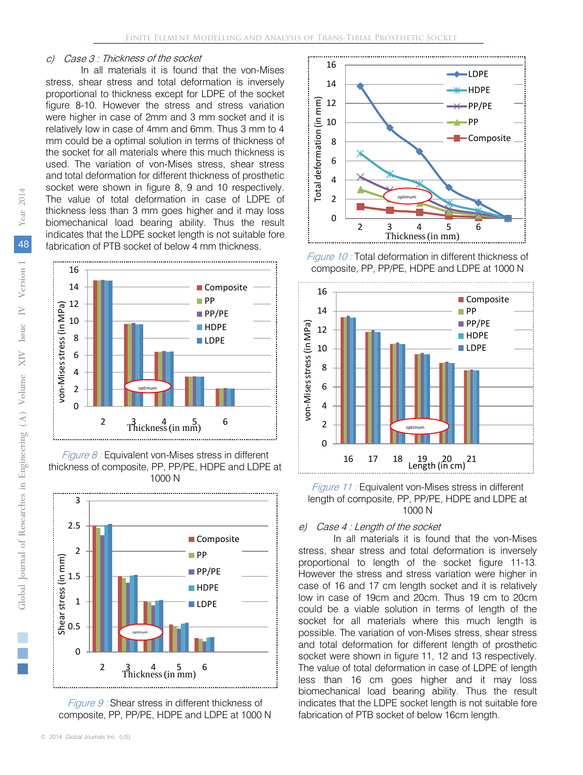#### c) Case 3 : Thickness of the socket

In all materials it is found that the von-Mises stress, shear stress and total deformation is inversely proportional to thickness except for LDPE of the socket figure 8-10. However the stress and stress variation were higher in case of 2mm and 3 mm socket and it is relatively low in case of 4mm and 6mm. Thus 3 mm to 4 mm could be a optimal solution in terms of thickness of the socket for all materials where this much thickness is used. The variation of von-Mises stress, shear stress and total deformation for different thickness of prosthetic socket were shown in figure 8, 9 and 10 respectively. The value of total deformation in case of LDPE of thickness less than 3 mm goes higher and it may loss biomechanical load bearing ability. Thus the result indicates that the LDPE socket length is not suitable fore fabrication of PTB socket of below 4 mm thickness.



*Figure 8 :* Equivalent von-Mises stress in different thickness of composite, PP, PP/PE, HDPE and LDPE at 1000 N



Figure 9 : Shear stress in different thickness of composite, PP, PP/PE, HDPE and LDPE at 1000 N



Figure 10 : Total deformation in different thickness of composite, PP, PP/PE, HDPE and LDPE at 1000 N



Figure 11 : Equivalent von-Mises stress in different length of composite, PP, PP/PE, HDPE and LDPE at 1000 N

#### e) Case 4 : Length of the socket

In all materials it is found that the von-Mises stress, shear stress and total deformation is inversely proportional to length of the socket figure 11-13. However the stress and stress variation were higher in case of 16 and 17 cm length socket and it is relatively low in case of 19cm and 20cm. Thus 19 cm to 20cm could be a viable solution in terms of length of the socket for all materials where this much length is possible. The variation of von-Mises stress, shear stress and total deformation for different length of prosthetic socket were shown in figure 11, 12 and 13 respectively. The value of total deformation in case of LDPE of length less than 16 cm goes higher and it may loss biomechanical load bearing ability. Thus the result indicates that the LDPE socket length is not suitable fore fabrication of PTB socket of below 16cm length.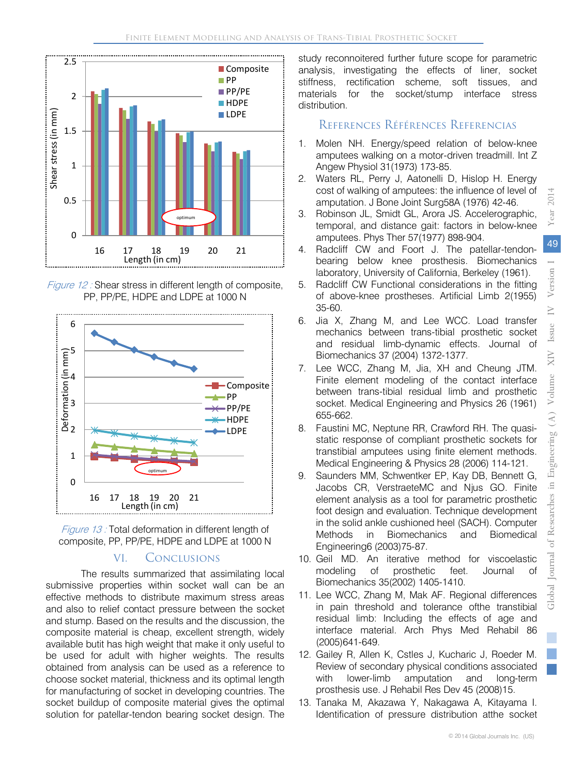

Figure 12 : Shear stress in different length of composite, PP, PP/PE, HDPE and LDPE at 1000 N





#### VI. Conclusions

The results summarized that assimilating local submissive properties within socket wall can be an effective methods to distribute maximum stress areas and also to relief contact pressure between the socket and stump. Based on the results and the discussion, the composite material is cheap, excellent strength, widely available butit has high weight that make it only useful to be used for adult with higher weights. The results obtained from analysis can be used as a reference to choose socket material, thickness and its optimal length for manufacturing of socket in developing countries. The socket buildup of composite material gives the optimal solution for patellar-tendon bearing socket design. The study reconnoitered further future scope for parametric analysis, investigating the effects of liner, socket stiffness, rectification scheme, soft tissues, and materials for the socket/stump interface stress distribution.

#### References Références Referencias

- 1. Molen NH. Energy/speed relation of below-knee amputees walking on a motor-driven treadmill. Int Z Angew Physiol 31(1973) 173-85.
- 2. Waters RL, Perry J, Aatonelli D, Hislop H. Energy cost of walking of amputees: the influence of level of amputation. J Bone Joint Surg58A (1976) 42-46.
- 3. Robinson JL, Smidt GL, Arora JS. Accelerographic, temporal, and distance gait: factors in below-knee amputees. Phys Ther 57(1977) 898-904.
- 4. Radcliff CW and Foort J. The patellar-tendonbearing below knee prosthesis. Biomechanics laboratory, University of California, Berkeley (1961).
- 5. Radcliff CW Functional considerations in the fitting of above-knee prostheses. Artificial Limb 2(1955) 35-60.
- 6. Jia X, Zhang M, and Lee WCC. Load transfer mechanics between trans-tibial prosthetic socket and residual limb-dynamic effects. Journal of Biomechanics 37 (2004) 1372-1377.
- 7. Lee WCC, Zhang M, Jia, XH and Cheung JTM. Finite element modeling of the contact interface between trans-tibial residual limb and prosthetic socket. Medical Engineering and Physics 26 (1961) 655-662.
- 8. Faustini MC, Neptune RR, Crawford RH. The quasistatic response of compliant prosthetic sockets for transtibial amputees using finite element methods. Medical Engineering & Physics 28 (2006) 114-121.
- 9. Saunders MM, Schwentker EP, Kay DB, Bennett G, Jacobs CR, VerstraeteMC and Njus GO. Finite element analysis as a tool for parametric prosthetic foot design and evaluation. Technique development in the solid ankle cushioned heel (SACH). Computer Methods in Biomechanics and Biomedical Engineering6 (2003)75-87.
- 10. Geil MD. An iterative method for viscoelastic modeling of prosthetic feet. Journal of Biomechanics 35(2002) 1405-1410.
- 11. Lee WCC, Zhang M, Mak AF. Regional differences in pain threshold and tolerance ofthe transtibial residual limb: Including the effects of age and interface material. Arch Phys Med Rehabil 86 (2005)641-649.
- 12. Gailey R, Allen K, Cstles J, Kucharic J, Roeder M. Review of secondary physical conditions associated with lower-limb amputation and long-term prosthesis use. J Rehabil Res Dev 45 (2008)15.
- 13. Tanaka M, Akazawa Y, Nakagawa A, Kitayama I. Identification of pressure distribution atthe socket

2014